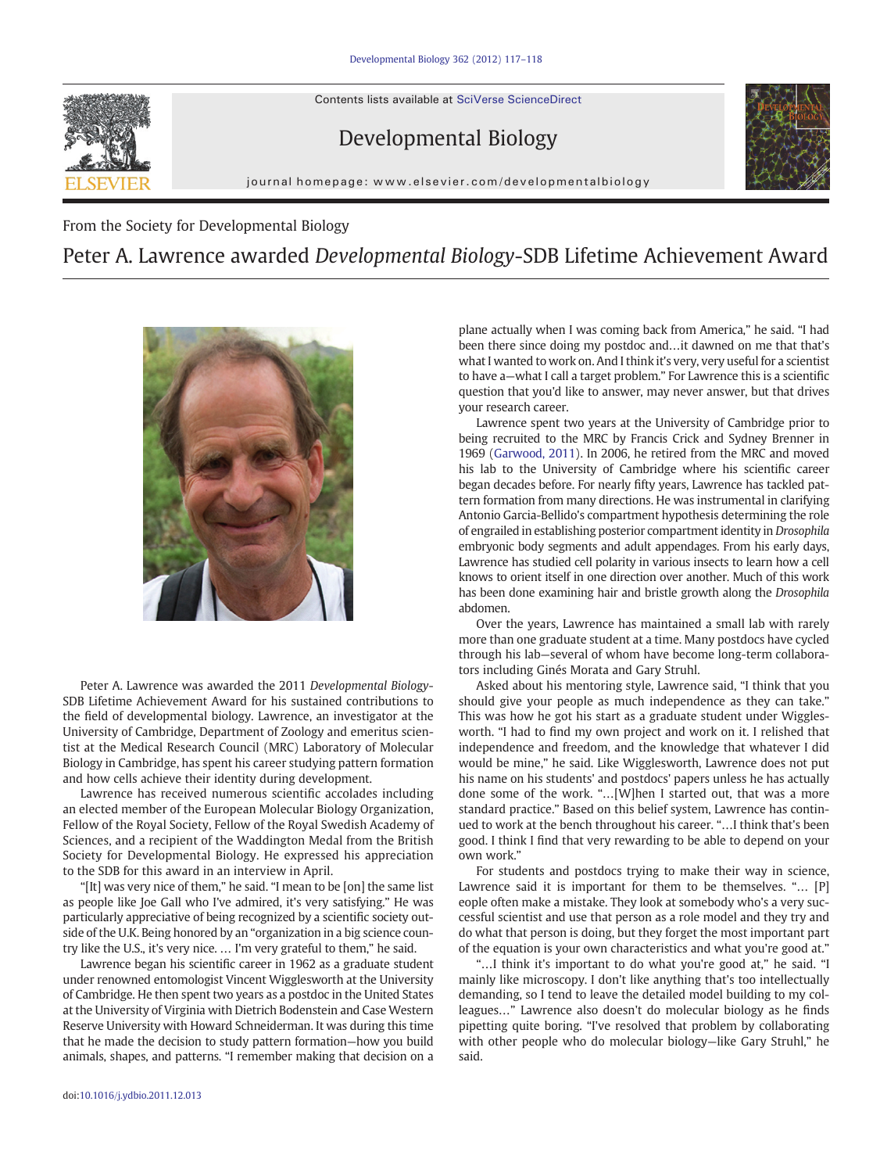Contents lists available at [SciVerse ScienceDirect](http://www.sciencedirect.com/science/journal/00121606)



## Developmental Biology

journal homepage: www.elsevier.com/developmentalbiology

From the Society for Developmental Biology

## Peter A. Lawrence awarded Developmental Biology-SDB Lifetime Achievement Award



Peter A. Lawrence was awarded the 2011 Developmental Biology-SDB Lifetime Achievement Award for his sustained contributions to the field of developmental biology. Lawrence, an investigator at the University of Cambridge, Department of Zoology and emeritus scientist at the Medical Research Council (MRC) Laboratory of Molecular Biology in Cambridge, has spent his career studying pattern formation and how cells achieve their identity during development.

Lawrence has received numerous scientific accolades including an elected member of the European Molecular Biology Organization, Fellow of the Royal Society, Fellow of the Royal Swedish Academy of Sciences, and a recipient of the Waddington Medal from the British Society for Developmental Biology. He expressed his appreciation to the SDB for this award in an interview in April.

"[It] was very nice of them," he said. "I mean to be [on] the same list as people like Joe Gall who I've admired, it's very satisfying." He was particularly appreciative of being recognized by a scientific society outside of the U.K. Being honored by an "organization in a big science country like the U.S., it's very nice. … I'm very grateful to them," he said.

Lawrence began his scientific career in 1962 as a graduate student under renowned entomologist Vincent Wigglesworth at the University of Cambridge. He then spent two years as a postdoc in the United States at the University of Virginia with Dietrich Bodenstein and Case Western Reserve University with Howard Schneiderman. It was during this time that he made the decision to study pattern formation—how you build animals, shapes, and patterns. "I remember making that decision on a

plane actually when I was coming back from America," he said. "I had been there since doing my postdoc and…it dawned on me that that's what I wanted to work on. And I think it's very, very useful for a scientist to have a—what I call a target problem." For Lawrence this is a scientific question that you'd like to answer, may never answer, but that drives your research career.

Lawrence spent two years at the University of Cambridge prior to being recruited to the MRC by Francis Crick and Sydney Brenner in 1969 [\(Garwood, 2011](#page-1-0)). In 2006, he retired from the MRC and moved his lab to the University of Cambridge where his scientific career began decades before. For nearly fifty years, Lawrence has tackled pattern formation from many directions. He was instrumental in clarifying Antonio Garcia-Bellido's compartment hypothesis determining the role of engrailed in establishing posterior compartment identity in Drosophila embryonic body segments and adult appendages. From his early days, Lawrence has studied cell polarity in various insects to learn how a cell knows to orient itself in one direction over another. Much of this work has been done examining hair and bristle growth along the Drosophila abdomen.

Over the years, Lawrence has maintained a small lab with rarely more than one graduate student at a time. Many postdocs have cycled through his lab—several of whom have become long-term collaborators including Ginés Morata and Gary Struhl.

Asked about his mentoring style, Lawrence said, "I think that you should give your people as much independence as they can take." This was how he got his start as a graduate student under Wigglesworth. "I had to find my own project and work on it. I relished that independence and freedom, and the knowledge that whatever I did would be mine," he said. Like Wigglesworth, Lawrence does not put his name on his students' and postdocs' papers unless he has actually done some of the work. "…[W]hen I started out, that was a more standard practice." Based on this belief system, Lawrence has continued to work at the bench throughout his career. "…I think that's been good. I think I find that very rewarding to be able to depend on your own work."

For students and postdocs trying to make their way in science, Lawrence said it is important for them to be themselves. "... [P] eople often make a mistake. They look at somebody who's a very successful scientist and use that person as a role model and they try and do what that person is doing, but they forget the most important part of the equation is your own characteristics and what you're good at."

"…I think it's important to do what you're good at," he said. "I mainly like microscopy. I don't like anything that's too intellectually demanding, so I tend to leave the detailed model building to my colleagues…" Lawrence also doesn't do molecular biology as he finds pipetting quite boring. "I've resolved that problem by collaborating with other people who do molecular biology—like Gary Struhl," he said.